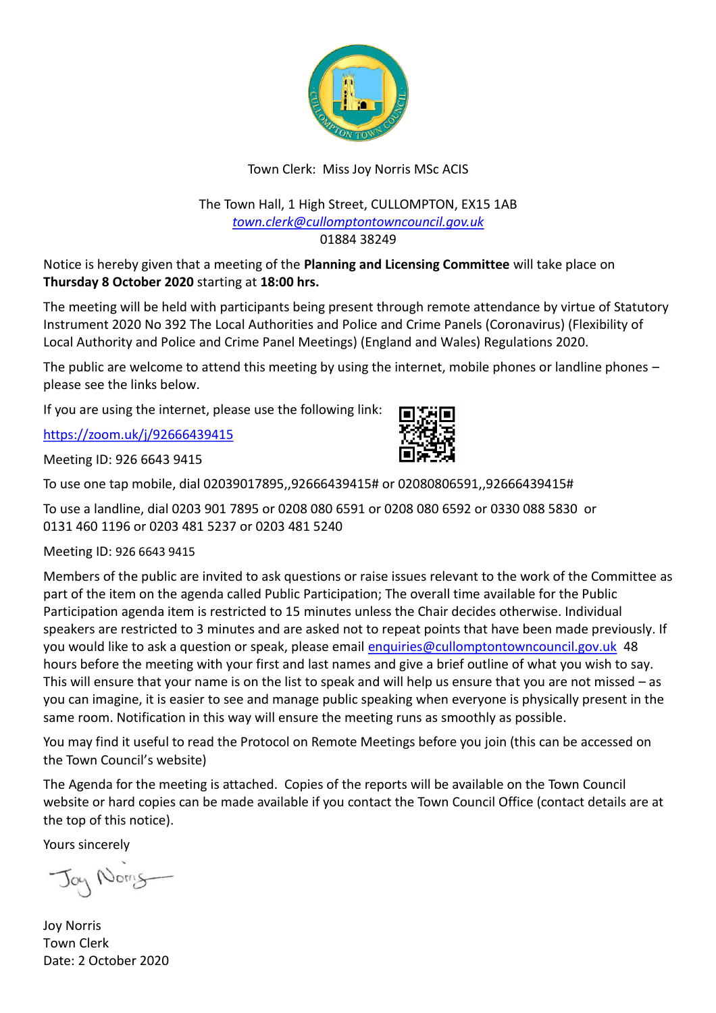

## Town Clerk: Miss Joy Norris MSc ACIS

#### The Town Hall, 1 High Street, CULLOMPTON, EX15 1AB *[town.clerk@cullomptontowncouncil.gov.uk](mailto:town.clerk@cullomptontowncouncil.gov.uk)* 01884 38249

Notice is hereby given that a meeting of the **Planning and Licensing Committee** will take place on **Thursday 8 October 2020** starting at **18:00 hrs.**

The meeting will be held with participants being present through remote attendance by virtue of Statutory Instrument 2020 No 392 The Local Authorities and Police and Crime Panels (Coronavirus) (Flexibility of Local Authority and Police and Crime Panel Meetings) (England and Wales) Regulations 2020.

The public are welcome to attend this meeting by using the internet, mobile phones or landline phones – please see the links below.

If you are using the internet, please use the following link:

<https://zoom.uk/j/92666439415>

Meeting ID: 926 6643 9415



To use a landline, dial 0203 901 7895 or 0208 080 6591 or 0208 080 6592 or 0330 088 5830 or 0131 460 1196 or 0203 481 5237 or 0203 481 5240

Meeting ID: 926 6643 9415

Members of the public are invited to ask questions or raise issues relevant to the work of the Committee as part of the item on the agenda called Public Participation; The overall time available for the Public Participation agenda item is restricted to 15 minutes unless the Chair decides otherwise. Individual speakers are restricted to 3 minutes and are asked not to repeat points that have been made previously. If you would like to ask a question or speak, please email [enquiries@cullomptontowncouncil.gov.uk](mailto:enquiries@cullomptontowncouncil.gov.uk) 48 hours before the meeting with your first and last names and give a brief outline of what you wish to say. This will ensure that your name is on the list to speak and will help us ensure that you are not missed – as you can imagine, it is easier to see and manage public speaking when everyone is physically present in the same room. Notification in this way will ensure the meeting runs as smoothly as possible.

You may find it useful to read the Protocol on Remote Meetings before you join (this can be accessed on the Town Council's website)

The Agenda for the meeting is attached. Copies of the reports will be available on the Town Council website or hard copies can be made available if you contact the Town Council Office (contact details are at the top of this notice).

Yours sincerely

Jay Norry

Joy Norris Town Clerk Date: 2 October 2020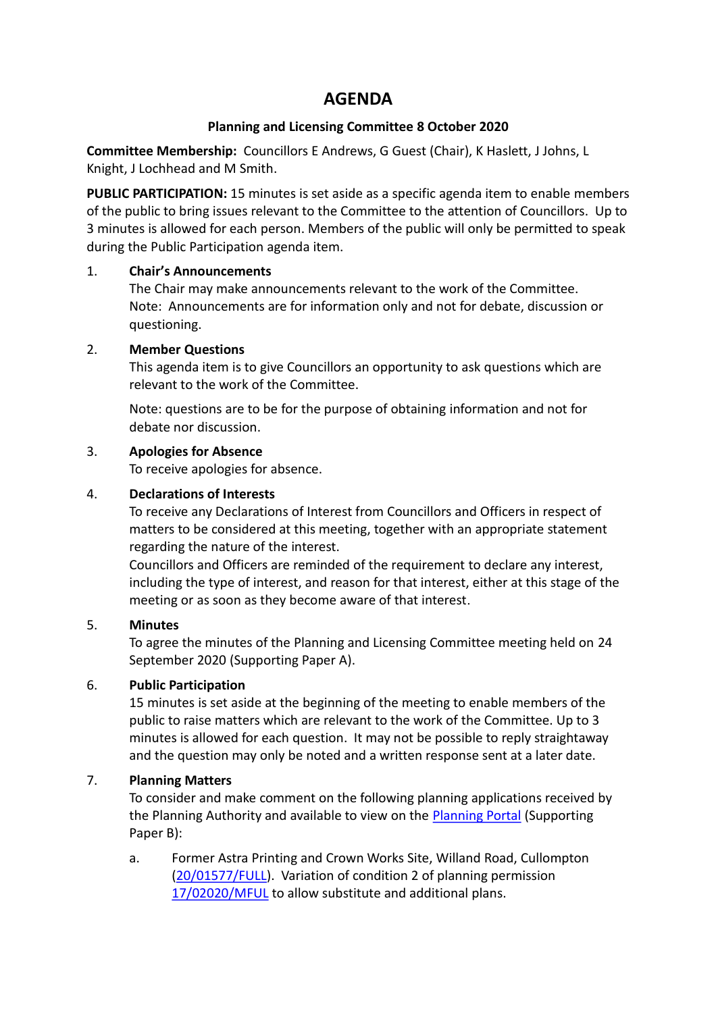# **AGENDA**

#### **Planning and Licensing Committee 8 October 2020**

**Committee Membership:** Councillors E Andrews, G Guest (Chair), K Haslett, J Johns, L Knight, J Lochhead and M Smith.

**PUBLIC PARTICIPATION:** 15 minutes is set aside as a specific agenda item to enable members of the public to bring issues relevant to the Committee to the attention of Councillors. Up to 3 minutes is allowed for each person. Members of the public will only be permitted to speak during the Public Participation agenda item.

#### 1. **Chair's Announcements**

The Chair may make announcements relevant to the work of the Committee. Note: Announcements are for information only and not for debate, discussion or questioning.

#### 2. **Member Questions**

This agenda item is to give Councillors an opportunity to ask questions which are relevant to the work of the Committee.

Note: questions are to be for the purpose of obtaining information and not for debate nor discussion.

#### 3. **Apologies for Absence**

To receive apologies for absence.

#### 4. **Declarations of Interests**

To receive any Declarations of Interest from Councillors and Officers in respect of matters to be considered at this meeting, together with an appropriate statement regarding the nature of the interest.

Councillors and Officers are reminded of the requirement to declare any interest, including the type of interest, and reason for that interest, either at this stage of the meeting or as soon as they become aware of that interest.

#### 5. **Minutes**

To agree the minutes of the Planning and Licensing Committee meeting held on 24 September 2020 (Supporting Paper A).

## 6. **Public Participation**

15 minutes is set aside at the beginning of the meeting to enable members of the public to raise matters which are relevant to the work of the Committee. Up to 3 minutes is allowed for each question. It may not be possible to reply straightaway and the question may only be noted and a written response sent at a later date.

## 7. **Planning Matters**

To consider and make comment on the following planning applications received by the Planning Authority and available to view on the [Planning Portal](https://planning.middevon.gov.uk/online-applications/applicationDetails.do?activeTab=documents&keyVal=QEYF1XKS05K00) (Supporting Paper B):

a. Former Astra Printing and Crown Works Site, Willand Road, Cullompton [\(20/01577/FULL\)](https://planning.middevon.gov.uk/online-applications/applicationDetails.do?activeTab=documents&keyVal=QHEV2FKS07T00). Variation of condition 2 of planning permission [17/02020/MFUL](https://planning.middevon.gov.uk/online-applications/applicationDetails.do?activeTab=documents&keyVal=P1B05EKS02T00) to allow substitute and additional plans.